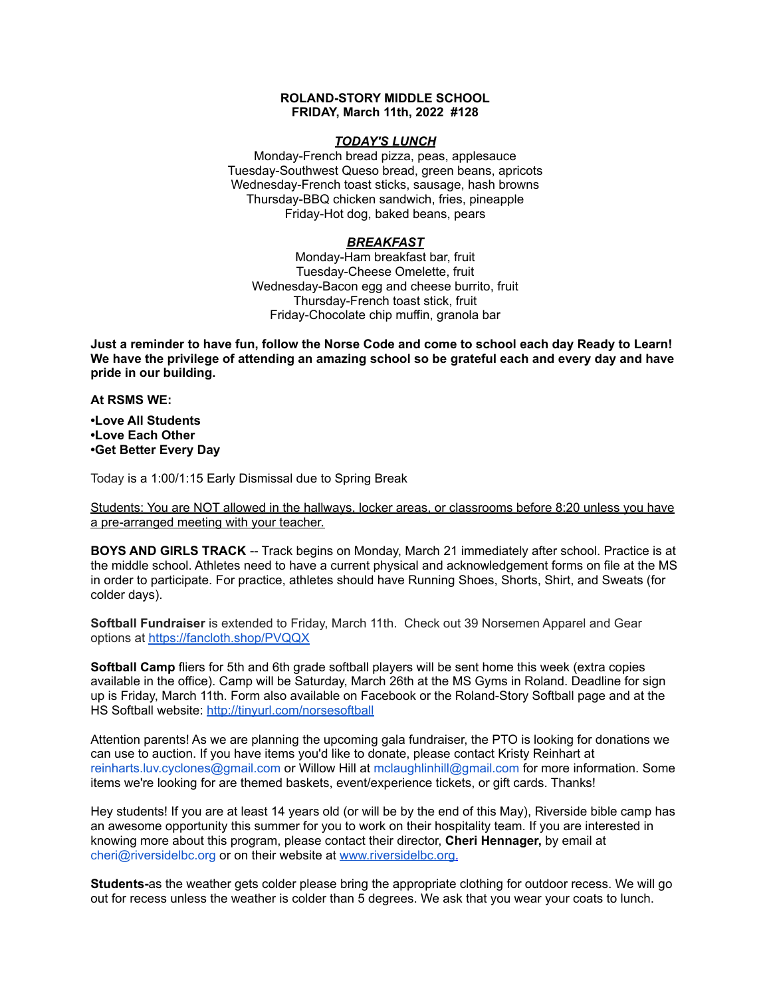## **ROLAND-STORY MIDDLE SCHOOL FRIDAY, March 11th, 2022 #128**

### *TODAY'S LUNCH*

Monday-French bread pizza, peas, applesauce Tuesday-Southwest Queso bread, green beans, apricots Wednesday-French toast sticks, sausage, hash browns Thursday-BBQ chicken sandwich, fries, pineapple Friday-Hot dog, baked beans, pears

# *BREAKFAST*

Monday-Ham breakfast bar, fruit Tuesday-Cheese Omelette, fruit Wednesday-Bacon egg and cheese burrito, fruit Thursday-French toast stick, fruit Friday-Chocolate chip muffin, granola bar

Just a reminder to have fun, follow the Norse Code and come to school each day Ready to Learn! **We have the privilege of attending an amazing school so be grateful each and every day and have pride in our building.**

### **At RSMS WE:**

**•Love All Students •Love Each Other •Get Better Every Day**

Today is a 1:00/1:15 Early Dismissal due to Spring Break

Students: You are NOT allowed in the hallways, locker areas, or classrooms before 8:20 unless you have a pre-arranged meeting with your teacher.

**BOYS AND GIRLS TRACK** -- Track begins on Monday, March 21 immediately after school. Practice is at the middle school. Athletes need to have a current physical and acknowledgement forms on file at the MS in order to participate. For practice, athletes should have Running Shoes, Shorts, Shirt, and Sweats (for colder days).

**Softball Fundraiser** is extended to Friday, March 11th. Check out 39 Norsemen Apparel and Gear options at <https://fancloth.shop/PVQQX>

**Softball Camp** fliers for 5th and 6th grade softball players will be sent home this week (extra copies available in the office). Camp will be Saturday, March 26th at the MS Gyms in Roland. Deadline for sign up is Friday, March 11th. Form also available on Facebook or the Roland-Story Softball page and at the HS Softball website: <http://tinyurl.com/norsesoftball>

Attention parents! As we are planning the upcoming gala fundraiser, the PTO is looking for donations we can use to auction. If you have items you'd like to donate, please contact Kristy Reinhart at reinharts.luv.cyclones@gmail.com or Willow Hill at mclaughlinhill@gmail.com for more information. Some items we're looking for are themed baskets, event/experience tickets, or gift cards. Thanks!

Hey students! If you are at least 14 years old (or will be by the end of this May), Riverside bible camp has an awesome opportunity this summer for you to work on their hospitality team. If you are interested in knowing more about this program, please contact their director, **Cheri Hennager,** by email at cheri@riversidelbc.org or on their website at [www.riversidelbc.org.](http://www.riversidelbc.org/)

**Students-**as the weather gets colder please bring the appropriate clothing for outdoor recess. We will go out for recess unless the weather is colder than 5 degrees. We ask that you wear your coats to lunch.